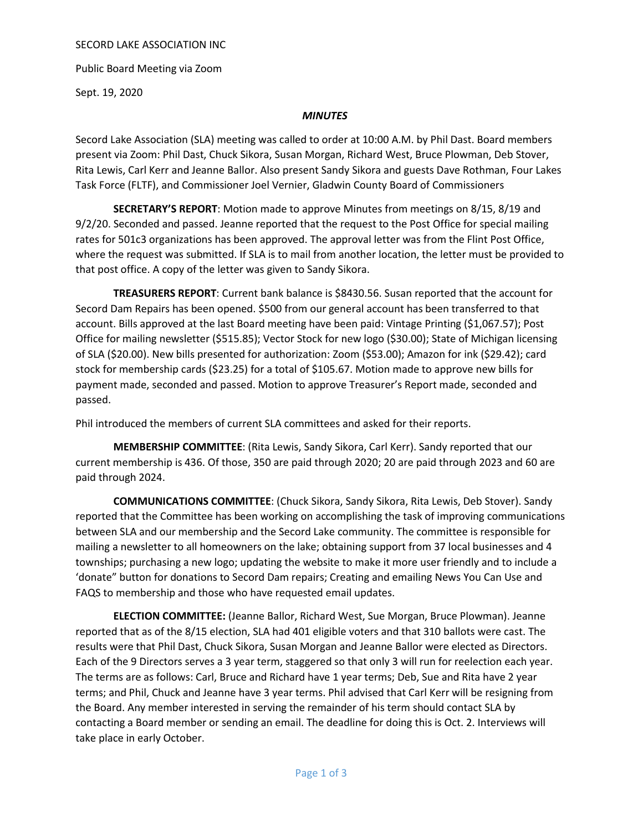### SECORD LAKE ASSOCIATION INC

Public Board Meeting via Zoom

Sept. 19, 2020

# *MINUTES*

Secord Lake Association (SLA) meeting was called to order at 10:00 A.M. by Phil Dast. Board members present via Zoom: Phil Dast, Chuck Sikora, Susan Morgan, Richard West, Bruce Plowman, Deb Stover, Rita Lewis, Carl Kerr and Jeanne Ballor. Also present Sandy Sikora and guests Dave Rothman, Four Lakes Task Force (FLTF), and Commissioner Joel Vernier, Gladwin County Board of Commissioners

SECRETARY'S REPORT: Motion made to approve Minutes from meetings on 8/15, 8/19 and 9/2/20. Seconded and passed. Jeanne reported that the request to the Post Office for special mailing rates for 501c3 organizations has been approved. The approval letter was from the Flint Post Office, where the request was submitted. If SLA is to mail from another location, the letter must be provided to that post office. A copy of the letter was given to Sandy Sikora.

TREASURERS REPORT: Current bank balance is \$8430.56. Susan reported that the account for Secord Dam Repairs has been opened. \$500 from our general account has been transferred to that account. Bills approved at the last Board meeting have been paid: Vintage Printing (\$1,067.57); Post Office for mailing newsletter (\$515.85); Vector Stock for new logo (\$30.00); State of Michigan licensing of SLA (\$20.00). New bills presented for authorization: Zoom (\$53.00); Amazon for ink (\$29.42); card stock for membership cards (\$23.25) for a total of \$105.67. Motion made to approve new bills for payment made, seconded and passed. Motion to approve Treasurer's Report made, seconded and passed.

Phil introduced the members of current SLA committees and asked for their reports.

MEMBERSHIP COMMITTEE: (Rita Lewis, Sandy Sikora, Carl Kerr). Sandy reported that our current membership is 436. Of those, 350 are paid through 2020; 20 are paid through 2023 and 60 are paid through 2024.

COMMUNICATIONS COMMITTEE: (Chuck Sikora, Sandy Sikora, Rita Lewis, Deb Stover). Sandy reported that the Committee has been working on accomplishing the task of improving communications between SLA and our membership and the Secord Lake community. The committee is responsible for mailing a newsletter to all homeowners on the lake; obtaining support from 37 local businesses and 4 townships; purchasing a new logo; updating the website to make it more user friendly and to include a 'donate" button for donations to Secord Dam repairs; Creating and emailing News You Can Use and FAQS to membership and those who have requested email updates.

ELECTION COMMITTEE: (Jeanne Ballor, Richard West, Sue Morgan, Bruce Plowman). Jeanne reported that as of the 8/15 election, SLA had 401 eligible voters and that 310 ballots were cast. The results were that Phil Dast, Chuck Sikora, Susan Morgan and Jeanne Ballor were elected as Directors. Each of the 9 Directors serves a 3 year term, staggered so that only 3 will run for reelection each year. The terms are as follows: Carl, Bruce and Richard have 1 year terms; Deb, Sue and Rita have 2 year terms; and Phil, Chuck and Jeanne have 3 year terms. Phil advised that Carl Kerr will be resigning from the Board. Any member interested in serving the remainder of his term should contact SLA by contacting a Board member or sending an email. The deadline for doing this is Oct. 2. Interviews will take place in early October.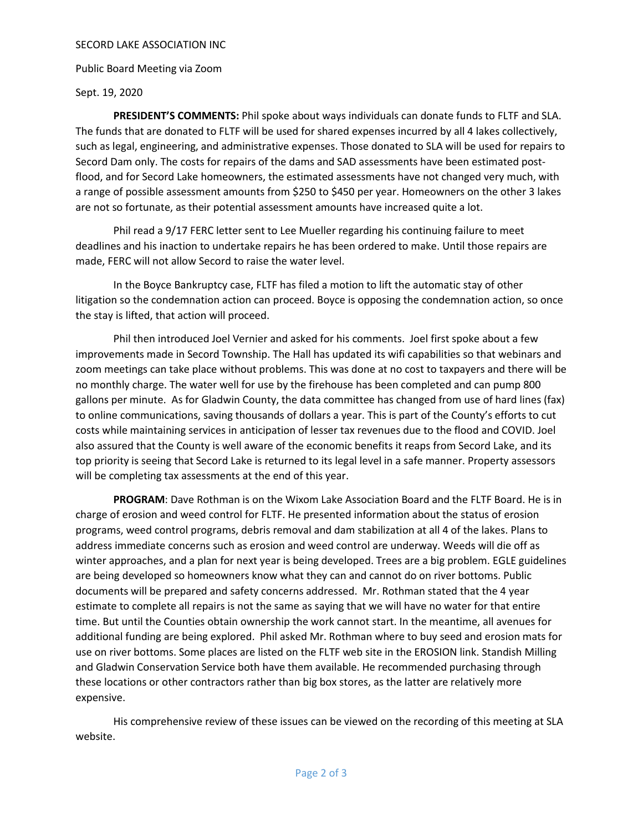### SECORD LAKE ASSOCIATION INC

Public Board Meeting via Zoom

# Sept. 19, 2020

PRESIDENT'S COMMENTS: Phil spoke about ways individuals can donate funds to FLTF and SLA. The funds that are donated to FLTF will be used for shared expenses incurred by all 4 lakes collectively, such as legal, engineering, and administrative expenses. Those donated to SLA will be used for repairs to Secord Dam only. The costs for repairs of the dams and SAD assessments have been estimated postflood, and for Secord Lake homeowners, the estimated assessments have not changed very much, with a range of possible assessment amounts from \$250 to \$450 per year. Homeowners on the other 3 lakes are not so fortunate, as their potential assessment amounts have increased quite a lot.

Phil read a 9/17 FERC letter sent to Lee Mueller regarding his continuing failure to meet deadlines and his inaction to undertake repairs he has been ordered to make. Until those repairs are made, FERC will not allow Secord to raise the water level.

In the Boyce Bankruptcy case, FLTF has filed a motion to lift the automatic stay of other litigation so the condemnation action can proceed. Boyce is opposing the condemnation action, so once the stay is lifted, that action will proceed.

Phil then introduced Joel Vernier and asked for his comments. Joel first spoke about a few improvements made in Secord Township. The Hall has updated its wifi capabilities so that webinars and zoom meetings can take place without problems. This was done at no cost to taxpayers and there will be no monthly charge. The water well for use by the firehouse has been completed and can pump 800 gallons per minute. As for Gladwin County, the data committee has changed from use of hard lines (fax) to online communications, saving thousands of dollars a year. This is part of the County's efforts to cut costs while maintaining services in anticipation of lesser tax revenues due to the flood and COVID. Joel also assured that the County is well aware of the economic benefits it reaps from Secord Lake, and its top priority is seeing that Secord Lake is returned to its legal level in a safe manner. Property assessors will be completing tax assessments at the end of this year.

PROGRAM: Dave Rothman is on the Wixom Lake Association Board and the FLTF Board. He is in charge of erosion and weed control for FLTF. He presented information about the status of erosion programs, weed control programs, debris removal and dam stabilization at all 4 of the lakes. Plans to address immediate concerns such as erosion and weed control are underway. Weeds will die off as winter approaches, and a plan for next year is being developed. Trees are a big problem. EGLE guidelines are being developed so homeowners know what they can and cannot do on river bottoms. Public documents will be prepared and safety concerns addressed. Mr. Rothman stated that the 4 year estimate to complete all repairs is not the same as saying that we will have no water for that entire time. But until the Counties obtain ownership the work cannot start. In the meantime, all avenues for additional funding are being explored. Phil asked Mr. Rothman where to buy seed and erosion mats for use on river bottoms. Some places are listed on the FLTF web site in the EROSION link. Standish Milling and Gladwin Conservation Service both have them available. He recommended purchasing through these locations or other contractors rather than big box stores, as the latter are relatively more expensive.

His comprehensive review of these issues can be viewed on the recording of this meeting at SLA website.